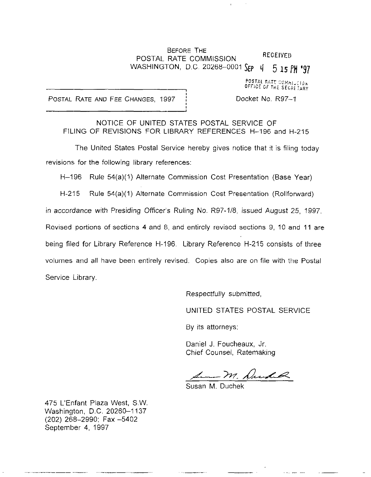## BEFORE THE POSTAL RATE COMMISSION RECEIVED WASHINGTON, D.C. 20268-0001 SEP 4 5 15 PM '97

POSTAL RATE COMMITTI OFFICE OF THE SECRETARY

POSTAL RATE AND FEE CHANGES, 1997 i Docket No. R97-1

NOTICE OF UNITED STATES POSTAL SERVICE OF FILING OF REVISIONS FOR LIBRARY REFERENCES H-196 and H-215

The United States Postal Service hereby gives notice that it is filing today revisions for the following library references:

H-196 Rule 54(a)(1) Alternate Commission Cost Presentation (Base Year)

H-215 Rule 54(a)(1) Alternate Commission Cost Presentation (Rollforward) in accordance with Presiding Officer's Ruling No. R97-1/8, issued August 25, 1997. Revised portions of sections 4 and 8, and entirely revised sections 9, 10 and 11 are being filed for Library Reference H-196. Library Reference H-215 consists of three volumes and all have been entirely revised. Copies also are on file with the Postal Service Library.

Respectfully submitted,

UNITED STATES POSTAL SERVICE

By its attorneys:

Daniel J. Foucheaux, Jr. Chief Counsel, Ratemaking

1 M. Durch

Susan M. Duchek

475 L'Enfant Plaza West, SW. Washington, D.C. 20260-1137 (202) 2&8-2990; Fax -5402 September 4, 1997